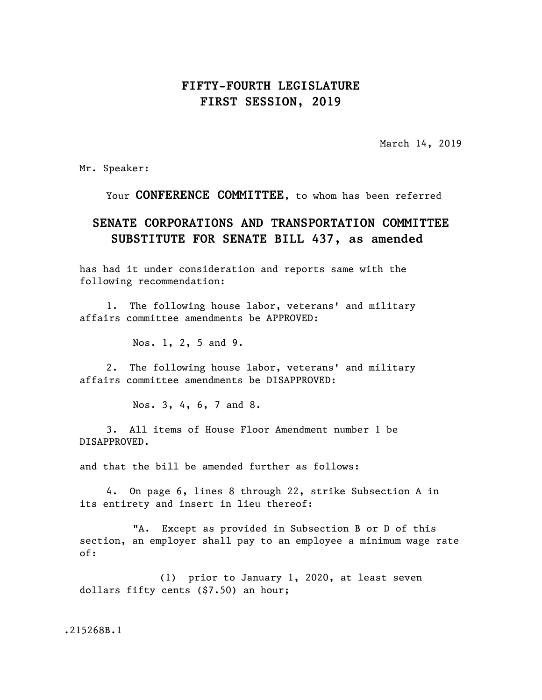## **FIFTY-FOURTH LEGISLATURE FIRST SESSION, 2019**

March 14, 2019

Mr. Speaker:

Your **CONFERENCE COMMITTEE**, to whom has been referred

## **SENATE CORPORATIONS AND TRANSPORTATION COMMITTEE SUBSTITUTE FOR SENATE BILL 437, as amended**

has had it under consideration and reports same with the following recommendation:

1. The following house labor, veterans' and military affairs committee amendments be APPROVED:

Nos. 1, 2, 5 and 9.

2. The following house labor, veterans' and military affairs committee amendments be DISAPPROVED:

Nos. 3, 4, 6, 7 and 8.

3. All items of House Floor Amendment number 1 be DISAPPROVED.

and that the bill be amended further as follows:

4. On page 6, lines 8 through 22, strike Subsection A in its entirety and insert in lieu thereof:

"A. Except as provided in Subsection B or D of this section, an employer shall pay to an employee a minimum wage rate of:

(1) prior to January 1, 2020, at least seven dollars fifty cents (\$7.50) an hour;

.215268B.1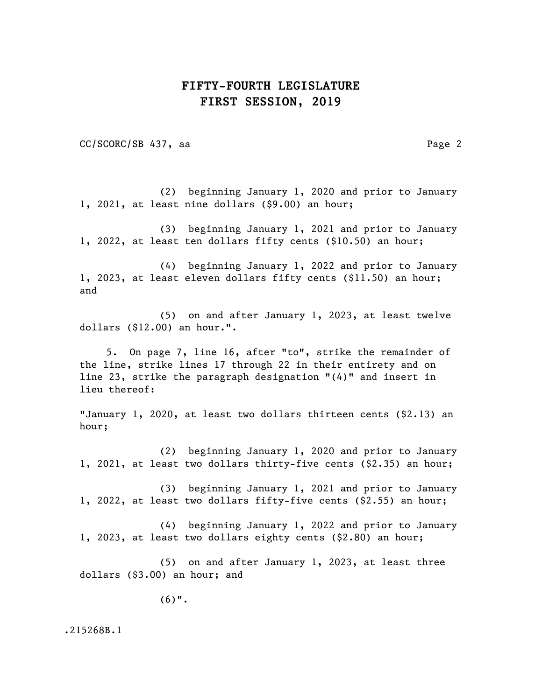## **FIFTY-FOURTH LEGISLATURE FIRST SESSION, 2019**

CC/SCORC/SB 437, aa Page 2

(2) beginning January 1, 2020 and prior to January 1, 2021, at least nine dollars (\$9.00) an hour;

(3) beginning January 1, 2021 and prior to January 1, 2022, at least ten dollars fifty cents (\$10.50) an hour;

(4) beginning January 1, 2022 and prior to January 1, 2023, at least eleven dollars fifty cents (\$11.50) an hour; and

(5) on and after January 1, 2023, at least twelve dollars (\$12.00) an hour.".

5. On page 7, line 16, after "to", strike the remainder of the line, strike lines 17 through 22 in their entirety and on line 23, strike the paragraph designation "(4)" and insert in lieu thereof:

"January 1, 2020, at least two dollars thirteen cents (\$2.13) an hour;

(2) beginning January 1, 2020 and prior to January 1, 2021, at least two dollars thirty-five cents (\$2.35) an hour;

(3) beginning January 1, 2021 and prior to January 1, 2022, at least two dollars fifty-five cents (\$2.55) an hour;

(4) beginning January 1, 2022 and prior to January 1, 2023, at least two dollars eighty cents (\$2.80) an hour;

(5) on and after January 1, 2023, at least three dollars (\$3.00) an hour; and

(6)".

.215268B.1